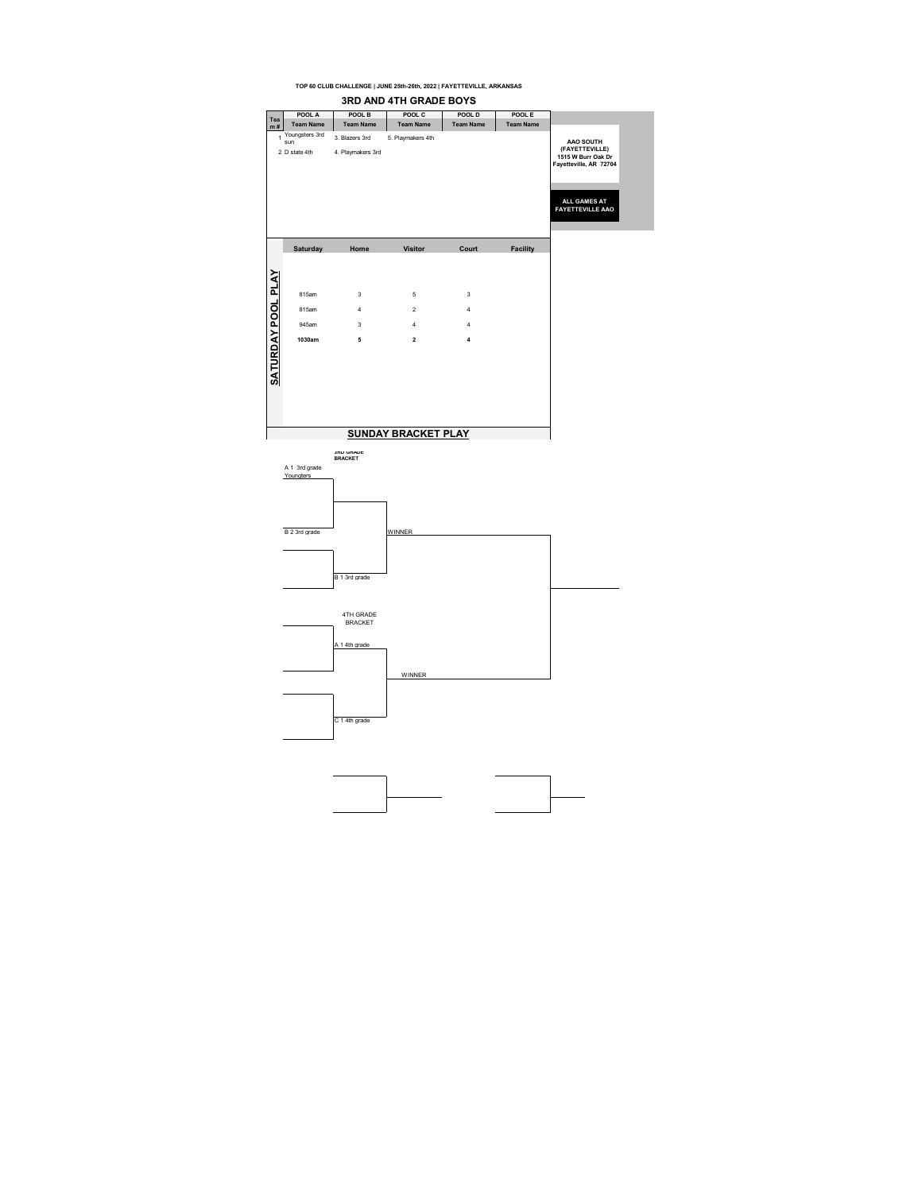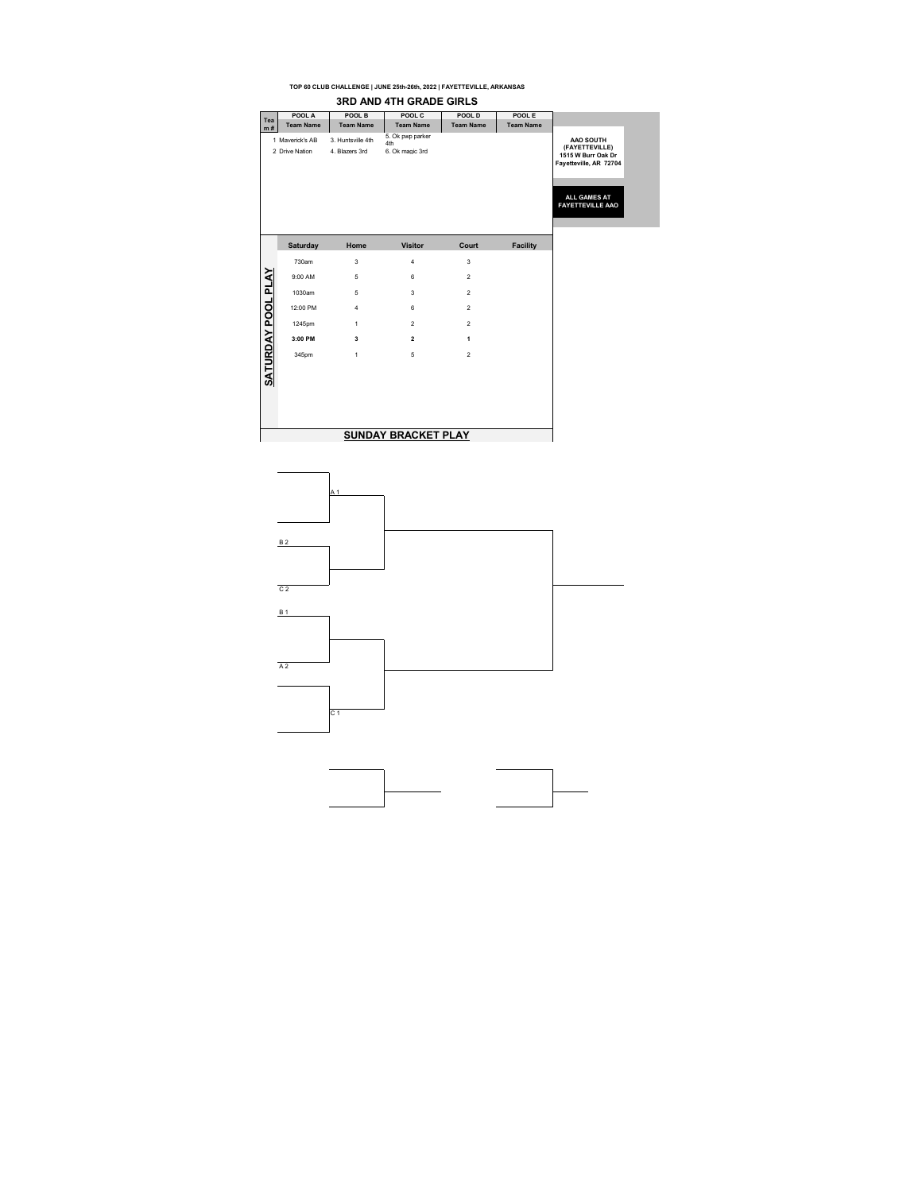|                    |                                   |                                     | <b>3RD AND 4TH GRADE GIRLS</b>             |                  |                  |
|--------------------|-----------------------------------|-------------------------------------|--------------------------------------------|------------------|------------------|
| Tea                | POOL A                            | POOL B                              | POOL C                                     | POOL D           | POOL E           |
| m#                 | <b>Team Name</b>                  | <b>Team Name</b>                    | <b>Team Name</b>                           | <b>Team Name</b> | <b>Team Name</b> |
|                    | 1 Maverick's AB<br>2 Drive Nation | 3. Huntsville 4th<br>4. Blazers 3rd | 5. Ok pwp parker<br>4th<br>6. Ok magic 3rd |                  |                  |
|                    | Saturday                          | Home                                | <b>Visitor</b>                             | Court            | <b>Facility</b>  |
|                    | 730am                             | 3                                   | 4                                          | 3                |                  |
|                    | 9:00 AM                           | 5                                   | 6                                          | $\overline{2}$   |                  |
|                    | 1030am                            | 5                                   | 3                                          | $\overline{2}$   |                  |
|                    | 12:00 PM                          | $\overline{4}$                      | 6                                          | $\overline{2}$   |                  |
|                    | 1245pm                            | 1                                   | $\overline{2}$                             | $\overline{2}$   |                  |
|                    | 3:00 PM                           | 3                                   | $\overline{2}$                             | 1                |                  |
| SATURDAY POOL PLAY | 345pm                             | $\mathbf{1}$                        | 5                                          | $\overline{2}$   |                  |
|                    |                                   |                                     |                                            |                  |                  |
|                    |                                   |                                     |                                            |                  |                  |
|                    |                                   |                                     |                                            |                  |                  |
|                    |                                   |                                     | <b>SUNDAY BRACKET PLAY</b>                 |                  |                  |

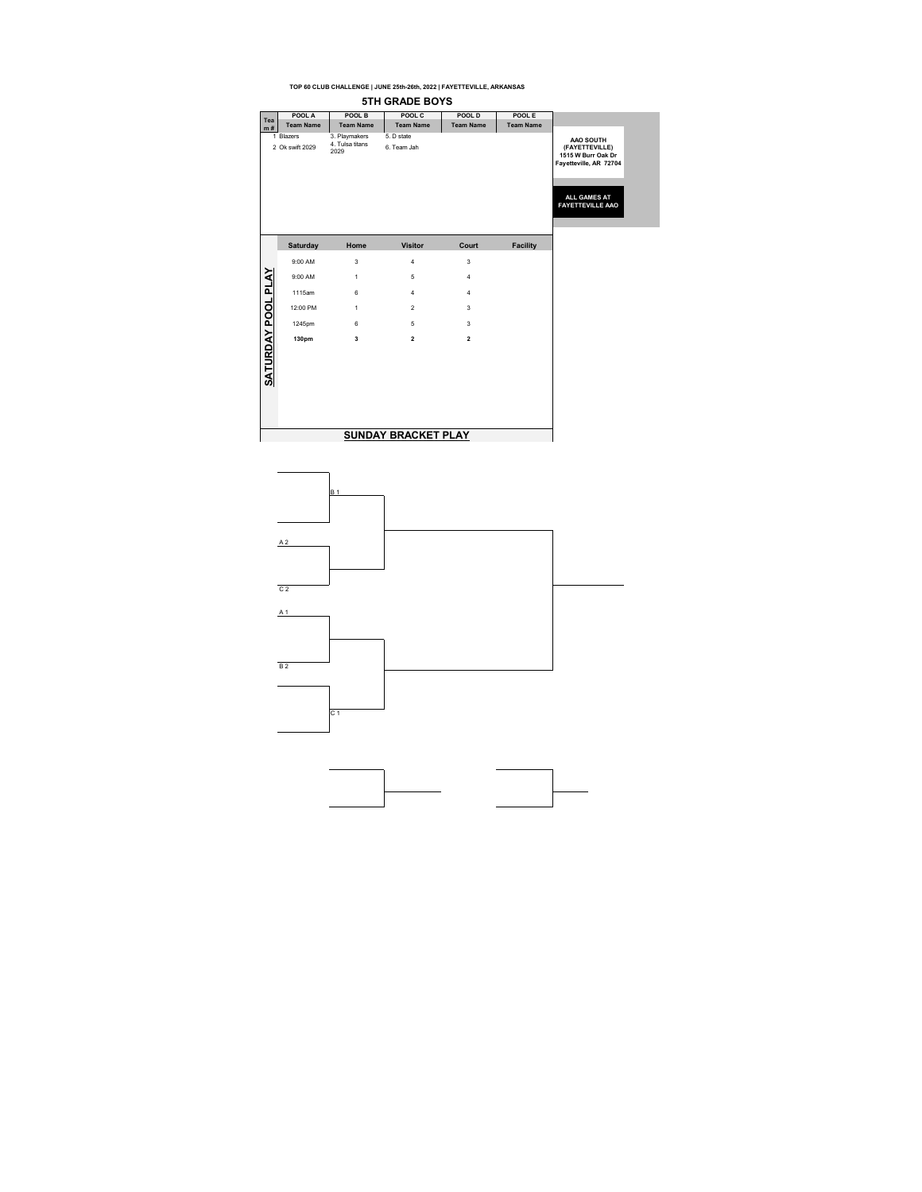|                    |                              |                                          | <b>5TH GRADE BOYS</b>      |                         |                  |
|--------------------|------------------------------|------------------------------------------|----------------------------|-------------------------|------------------|
| Tea                | POOL A                       | POOL B                                   | POOL C                     | POOL D                  | POOL E           |
| m#                 | <b>Team Name</b>             | <b>Team Name</b>                         | <b>Team Name</b>           | <b>Team Name</b>        | <b>Team Name</b> |
|                    | 1 Blazers<br>2 Ok swift 2029 | 3. Playmakers<br>4. Tulsa titans<br>2029 | 5. D state<br>6. Team Jah  |                         |                  |
|                    | Saturday                     | Home                                     | <b>Visitor</b>             | Court                   | <b>Facility</b>  |
|                    | 9:00 AM                      | 3                                        | 4                          | 3                       |                  |
|                    | 9:00 AM                      | 1                                        | 5                          | $\overline{4}$          |                  |
|                    | 1115am                       | 6                                        | 4                          | 4                       |                  |
|                    | 12:00 PM                     | $\mathbf{1}$                             | $\overline{2}$             | 3                       |                  |
|                    | 1245pm                       | 6                                        | 5                          | 3                       |                  |
|                    | 130pm                        | 3                                        | $\overline{\mathbf{2}}$    | $\overline{\mathbf{2}}$ |                  |
| SATURDAY POOL PLAY |                              |                                          |                            |                         |                  |
|                    |                              |                                          | <b>SUNDAY BRACKET PLAY</b> |                         |                  |

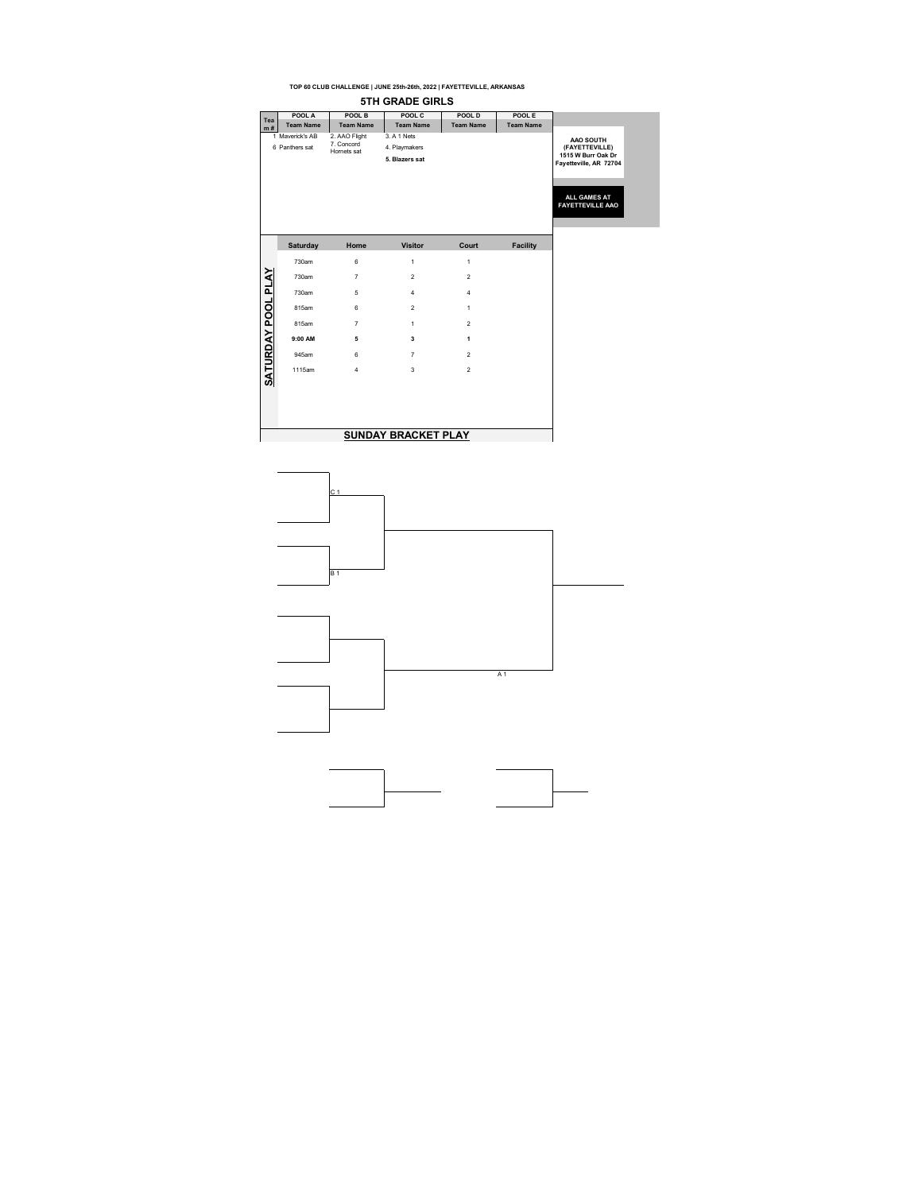|                           |                                   |                                           | 5TH GRADE GIRLS                                |                  |                  |
|---------------------------|-----------------------------------|-------------------------------------------|------------------------------------------------|------------------|------------------|
| Tea                       | POOL A                            | POOL B                                    | POOL C                                         | POOL D           | POOL E           |
| m#                        | <b>Team Name</b>                  | <b>Team Name</b>                          | <b>Team Name</b>                               | <b>Team Name</b> | <b>Team Name</b> |
|                           | 1 Maverick's AB<br>6 Panthers sat | 2. AAO Flight<br>7. Concord<br>Homets sat | 3. A 1 Nets<br>4. Playmakers<br>5. Blazers sat |                  |                  |
|                           | <b>Saturday</b>                   | Home                                      | <b>Visitor</b>                                 | Court            | <b>Facility</b>  |
|                           | 730am                             | 6                                         | 1                                              | 1                |                  |
|                           | 730am                             | $\overline{7}$                            | $\overline{2}$                                 | $\overline{2}$   |                  |
|                           | 730am                             | 5                                         | $\overline{4}$                                 | $\overline{4}$   |                  |
|                           | 815am                             | $6 \,$                                    | $\overline{2}$                                 | 1                |                  |
|                           | 815am                             | $\overline{7}$                            | $\mathbf{1}$                                   | $\overline{2}$   |                  |
|                           | 9:00 AM                           | 5                                         | 3                                              | $\mathbf{1}$     |                  |
|                           | 945am                             | 6                                         | $\overline{7}$                                 | $\overline{2}$   |                  |
| <b>SATURDAY POOL PLAY</b> | 1115am                            | $\overline{4}$                            | 3                                              | $\overline{2}$   |                  |
|                           |                                   |                                           |                                                |                  |                  |
|                           |                                   |                                           |                                                |                  |                  |
|                           |                                   |                                           |                                                |                  |                  |
|                           |                                   |                                           | <b>SUNDAY BRACKET PLAY</b>                     |                  |                  |

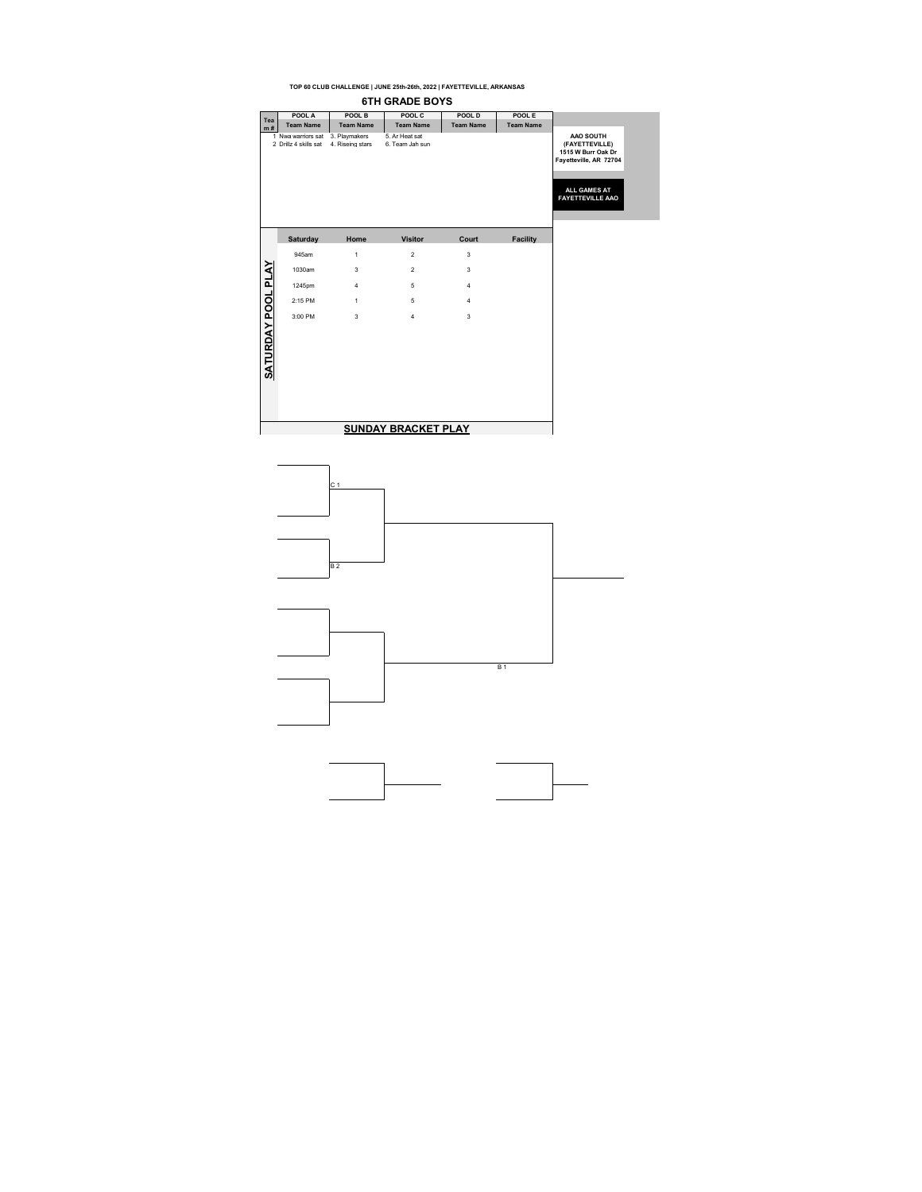**TOP 60 CLUB CHALLENGE | JUNE 25th-26th, 2022 | FAYETTEVILLE, ARKANSAS 6TH GRADE BOYS POOL A POOL B POOL C POOL D POOL E Tea m # Team Name Team Name Team Name Team Name Team Name** 1 Nwa warriors sat 3. Playmakers 5. Ar Heat sat 2 Drillz 4 skills sat 4. Riseing stars 6. Team Jah sun **AAO SOUTH (FAYETTEVILLE) 1515 W Burr Oak Dr Fayetteville, AR 72704 ALL GAMES AT FAYETTEVILLE AAO Saturday Home Visitor Court Facility**945am 1 2 3 SATURDAY POOL PLAY **SATURDAY POOL PLAY** 1030am 3 2 3 1245pm 4 5 4 2:15 PM 1 5 4  $3:00$  PM  $3$   $4$   $3$ **SUNDAY BRACKET PLAY**

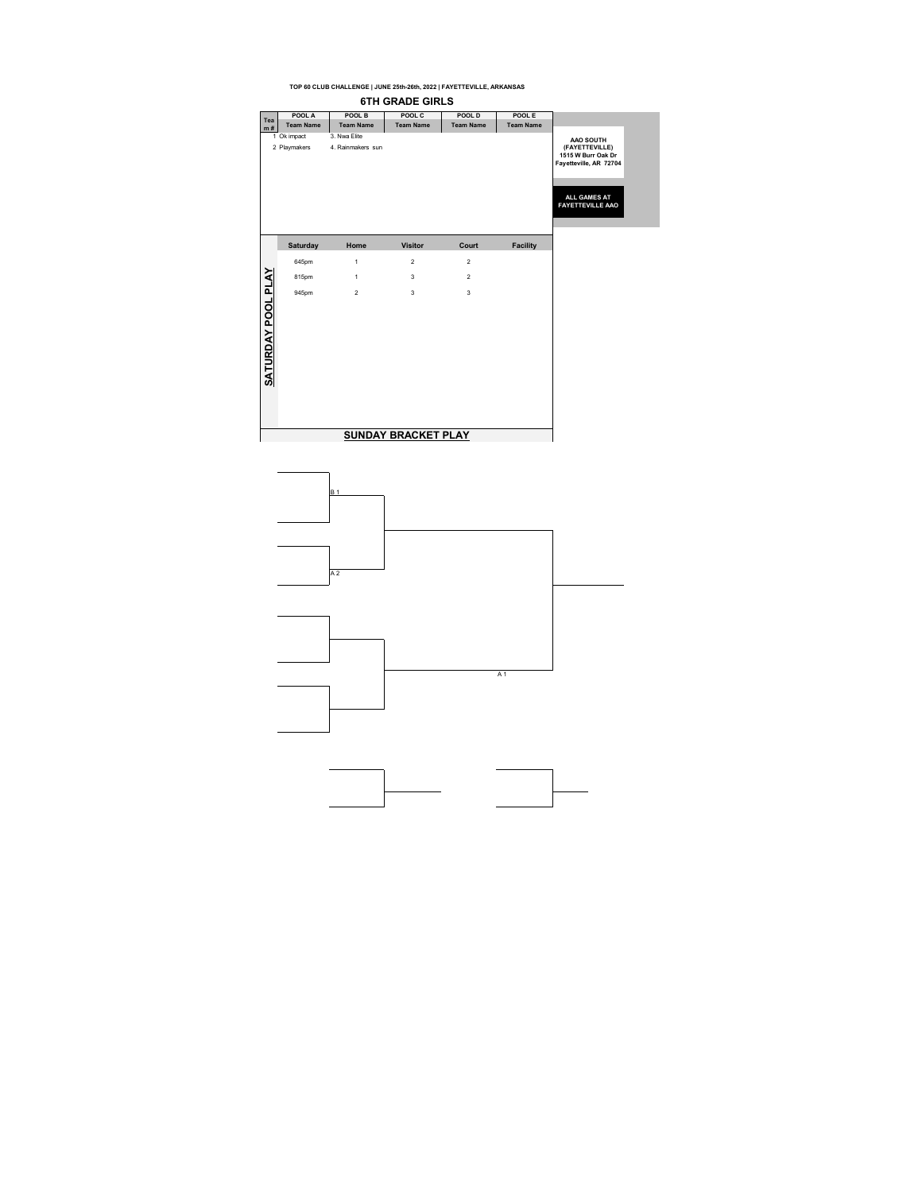

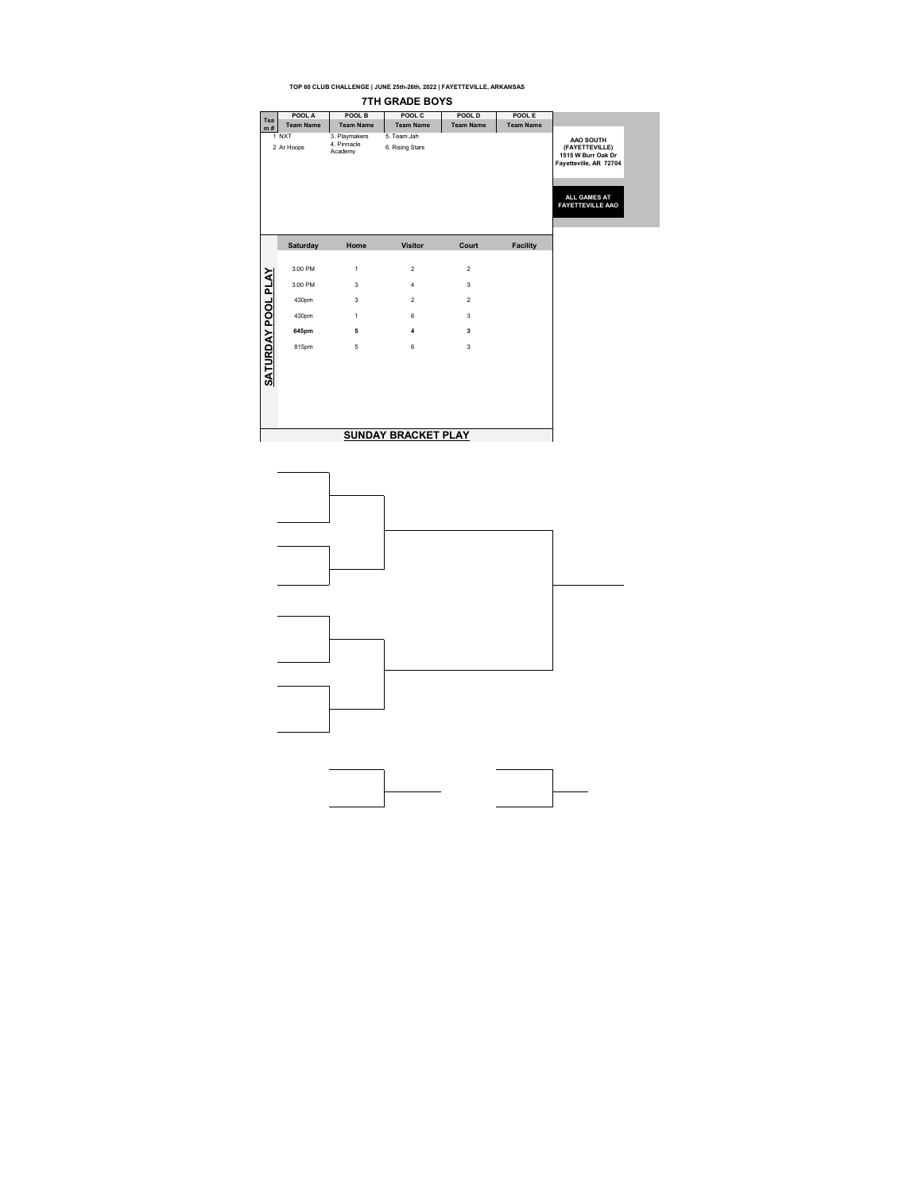|                    |                     |                                         | <b>7TH GRADE BOYS</b>          |                  |                  |                                                                                                                        |
|--------------------|---------------------|-----------------------------------------|--------------------------------|------------------|------------------|------------------------------------------------------------------------------------------------------------------------|
| Tea                | POOL A              | POOL B                                  | POOL C                         | POOL D           | POOL E           |                                                                                                                        |
| m#                 | <b>Team Name</b>    | <b>Team Name</b>                        | <b>Team Name</b>               | <b>Team Name</b> | <b>Team Name</b> |                                                                                                                        |
|                    | 1 NXT<br>2 Ar Hoops | 3. Playmakers<br>4. Pinnacle<br>Academy | 5. Team Jah<br>6. Rising Stars |                  |                  | AAO SOUTH<br>(FAYETTEVILLE)<br>1515 W Burr Oak Dr<br>Fayetteville, AR 72704<br>ALL GAMES AT<br><b>FAYETTEVILLE AAO</b> |
|                    | Saturday            | Home                                    | <b>Visitor</b>                 | Court            | <b>Facility</b>  |                                                                                                                        |
|                    | 3:00 PM             | $\mathbf{1}$                            | $\overline{2}$                 | $\overline{2}$   |                  |                                                                                                                        |
|                    | 3:00 PM             | 3                                       | $\overline{4}$                 | 3                |                  |                                                                                                                        |
|                    | 430pm               | 3                                       | $\overline{2}$                 | $\overline{2}$   |                  |                                                                                                                        |
|                    | 430pm               | $\mathbf{1}$                            | 6                              | 3                |                  |                                                                                                                        |
|                    | 645pm               | 5                                       | $\overline{\mathbf{4}}$        | 3                |                  |                                                                                                                        |
| SATURDAY POOL PLAY | 815pm               | 5                                       | 6                              | 3                |                  |                                                                                                                        |
|                    |                     |                                         | <b>SUNDAY BRACKET PLAY</b>     |                  |                  |                                                                                                                        |

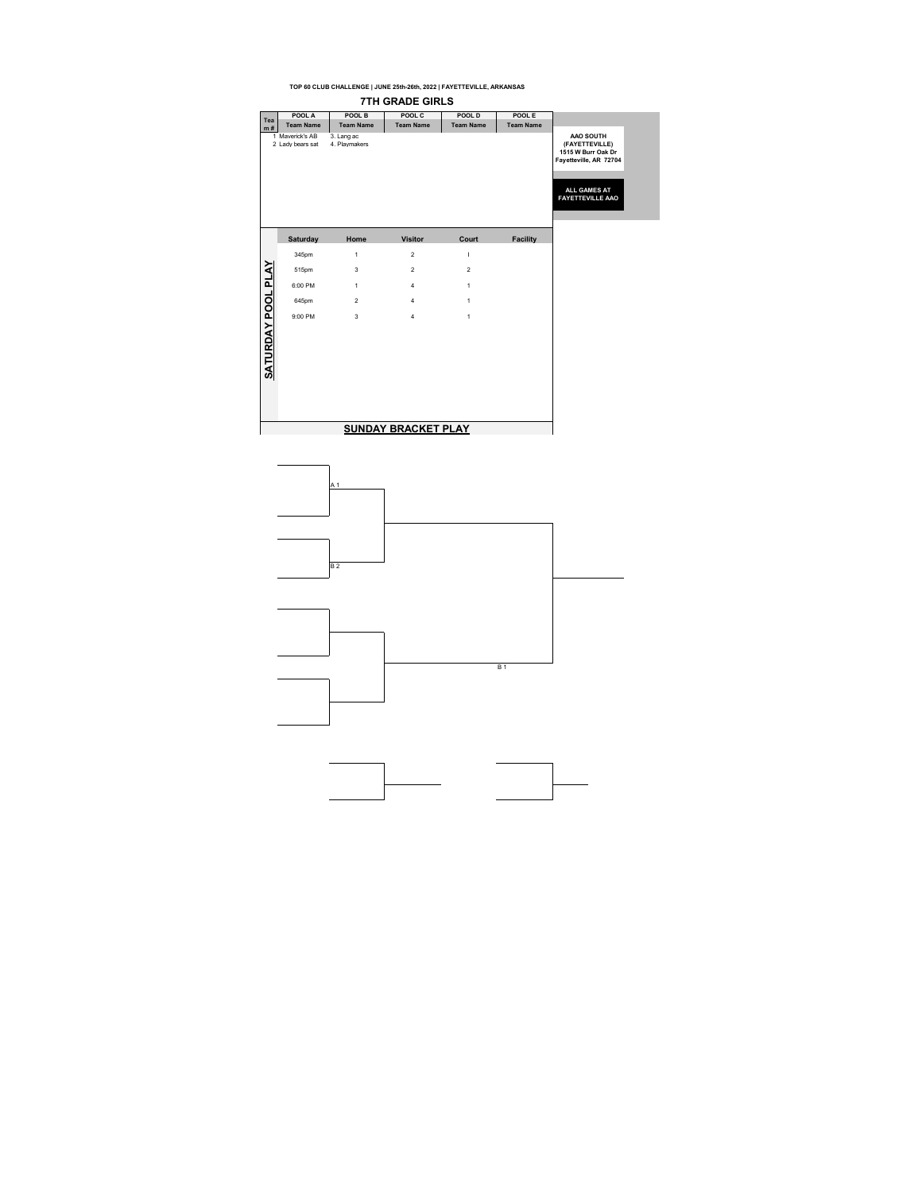**TOP 60 CLUB CHALLENGE | JUNE 25th-26th, 2022 | FAYETTEVILLE, ARKANSAS 7TH GRADE GIRLS POOL A POOL B POOL C POOL D POOL E Tea m # Team Name Team Name Team Name Team Name Team Name** 1 Maverick's AB 3. Lang ac 2 Lady bears sat 4. Playmakers **AAO SOUTH (FAYETTEVILLE) 1515 W Burr Oak Dr Fayetteville, AR 72704 ALL GAMES AT FAYETTEVILLE AAO Saturday Home Visitor Court Facility**345pm 1 2 | SATURDAY POOL PLAY **SATURDAY POOL PLAY** 515pm 3 2 2 6:00 PM 1 4 1 645pm 2 4 1 9:00 PM 3 4 1 **SUNDAY BRACKET PLAY**

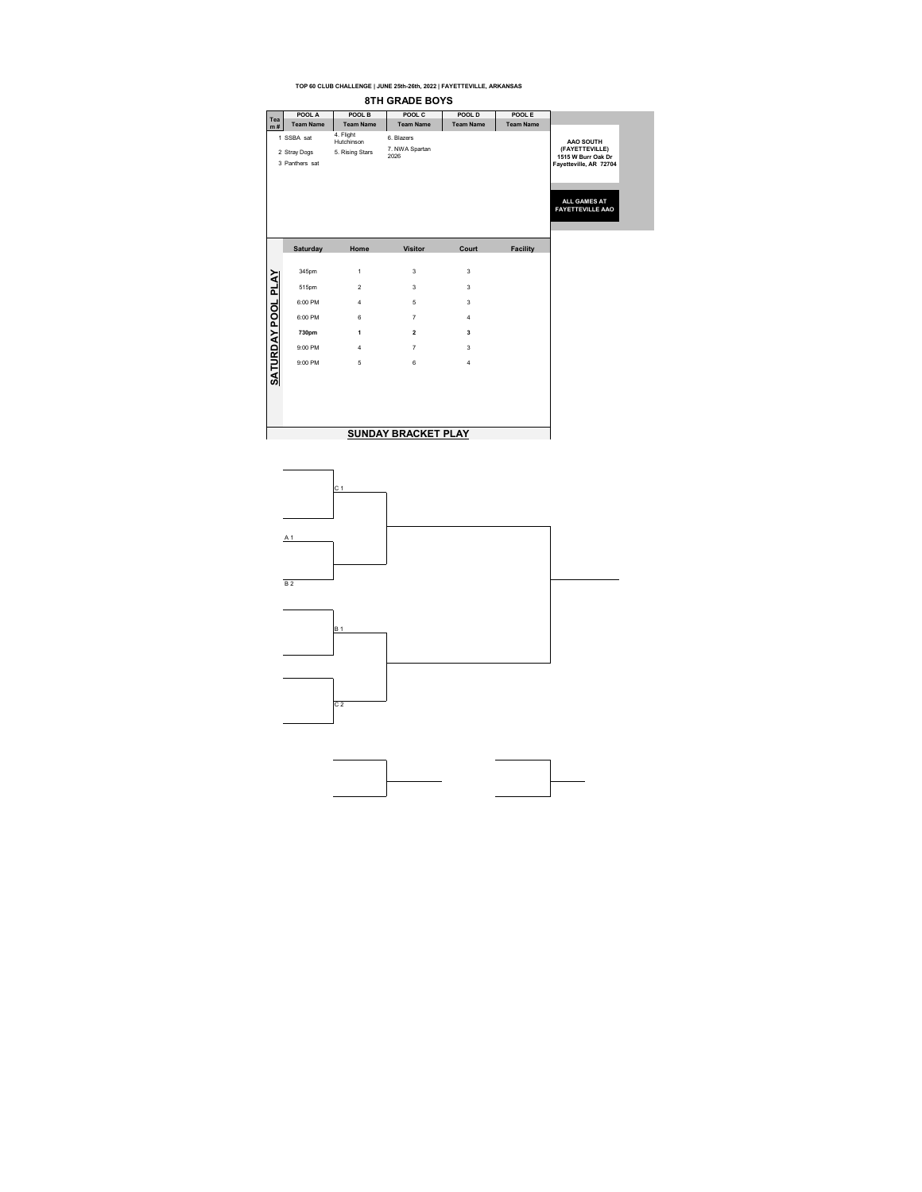**TOP 60 CLUB CHALLENGE | JUNE 25th-26th, 2022 | FAYETTEVILLE, ARKANSAS 8TH GRADE BOYS POOL A POOL B POOL C POOL D POOL E Tea m # Team Name Team Name Team Name Team Name Team Name** <sup>1</sup> SSBA sat 4. Flight Hutchinson 6. Blazers <sup>2</sup> Stray Dogs 5. Rising Stars 7. NWA Spartan 2026 **AAO SOUTH (FAYETTEVILLE) 1515 W Burr Oak Dr Fayetteville, AR 72704** 3 Panthers sat **ALL GAMES AT FAYETTEVILLE AAO Saturday Home Visitor Court Facility**345pm 1 3 3 3 SATURDAY POOL PLAY **SATURDAY POOL PLAY** 515pm 2 3 3 6:00 PM 4 5 3 6:00 PM 6 7 4 **730pm 1 2 3** 9:00 PM 4 7 3 9:00 PM 5 6 4 **SUNDAY BRACKET PLAY** 

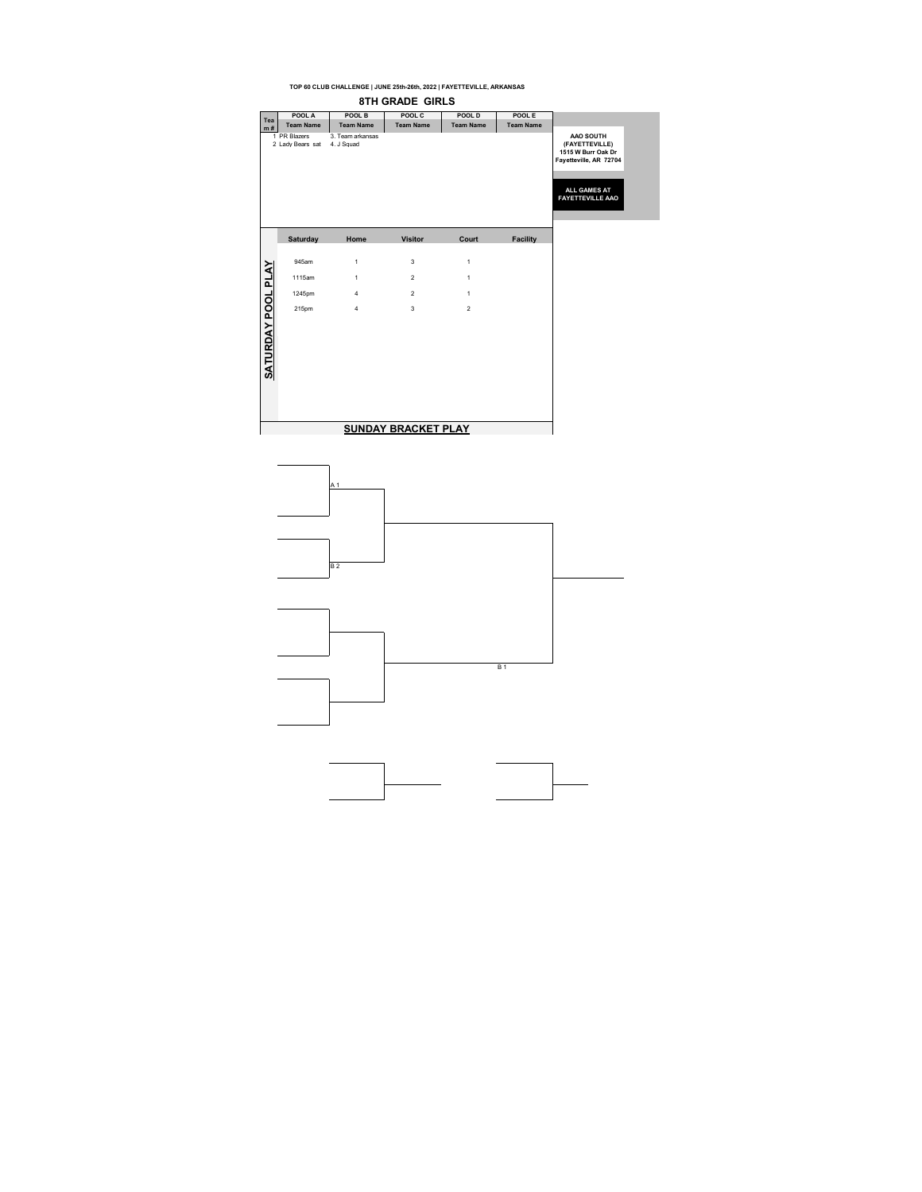**TOP 60 CLUB CHALLENGE | JUNE 25th-26th, 2022 | FAYETTEVILLE, ARKANSAS 8TH GRADE GIRLS POOL A POOL B POOL C POOL D POOL E Tea m # Team Name Team Name Team Name Team Name Team Name** 1 PR Blazers 3. Team arkansas 2 Lady Bears sat 4. J Squad **AAO SOUTH (FAYETTEVILLE) 1515 W Burr Oak Dr Fayetteville, AR 72704 ALL GAMES AT FAYETTEVILLE AAO Saturday Home Visitor Court Facility**945am 1 3 1 SATURDAY POOL PLAY **SATURDAY POOL PLAY** 1115am 1 2 1 1245pm 4 2 1 215pm 4 3 2 **SUNDAY BRACKET PLAY**

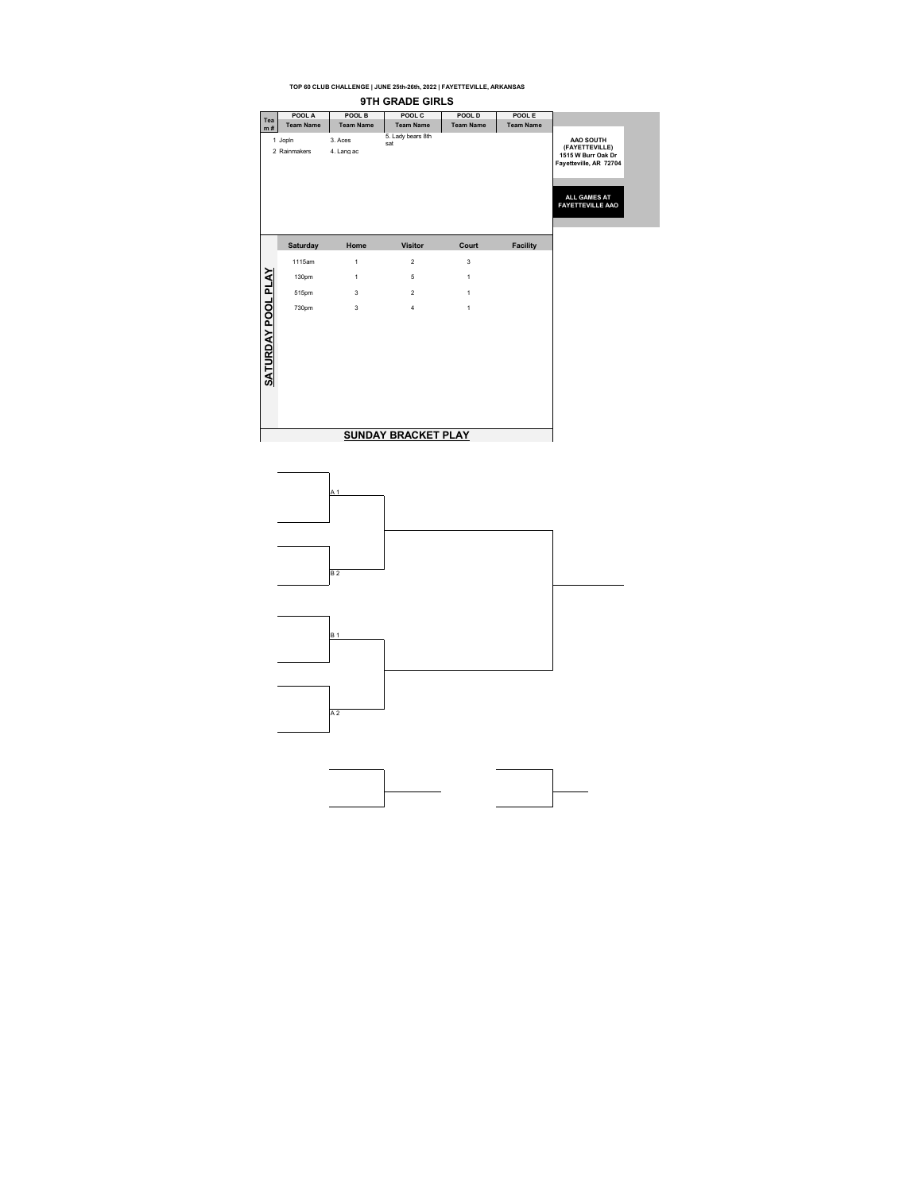| POOL A<br>POOL B<br>POOL C<br>POOL D<br>POOL E<br>Tea<br><b>Team Name</b><br><b>Team Name</b><br><b>Team Name</b><br><b>Team Name</b><br><b>Team Name</b><br>m#<br>5. Lady bears 8th<br>1 Jopin<br>3. Aces<br>AAO SOUTH<br>sat<br>2 Rainmakers<br>4. Lang ac<br>ALL GAMES AT<br>Saturday<br>Home<br><b>Visitor</b><br>Court<br><b>Facility</b><br>$\overline{2}$<br>3<br>1115am<br>$\mathbf{1}$<br><b>SATURDAY POOL PLAY</b><br>5<br>130pm<br>$\mathbf{1}$<br>1<br>$\overline{2}$<br>$\mathbf{1}$<br>515pm<br>3<br>730pm<br>$\overline{3}$<br>$\overline{4}$<br>$\mathbf{1}$ |  |  |  |                                                                                           |
|------------------------------------------------------------------------------------------------------------------------------------------------------------------------------------------------------------------------------------------------------------------------------------------------------------------------------------------------------------------------------------------------------------------------------------------------------------------------------------------------------------------------------------------------------------------------------|--|--|--|-------------------------------------------------------------------------------------------|
|                                                                                                                                                                                                                                                                                                                                                                                                                                                                                                                                                                              |  |  |  |                                                                                           |
|                                                                                                                                                                                                                                                                                                                                                                                                                                                                                                                                                                              |  |  |  |                                                                                           |
|                                                                                                                                                                                                                                                                                                                                                                                                                                                                                                                                                                              |  |  |  | (FAYETTEVILLE)<br>1515 W Burr Oak Dr<br>Fayetteville, AR 72704<br><b>FAYETTEVILLE AAO</b> |
|                                                                                                                                                                                                                                                                                                                                                                                                                                                                                                                                                                              |  |  |  |                                                                                           |
|                                                                                                                                                                                                                                                                                                                                                                                                                                                                                                                                                                              |  |  |  |                                                                                           |
|                                                                                                                                                                                                                                                                                                                                                                                                                                                                                                                                                                              |  |  |  |                                                                                           |
|                                                                                                                                                                                                                                                                                                                                                                                                                                                                                                                                                                              |  |  |  |                                                                                           |
| <b>SUNDAY BRACKET PLAY</b>                                                                                                                                                                                                                                                                                                                                                                                                                                                                                                                                                   |  |  |  |                                                                                           |

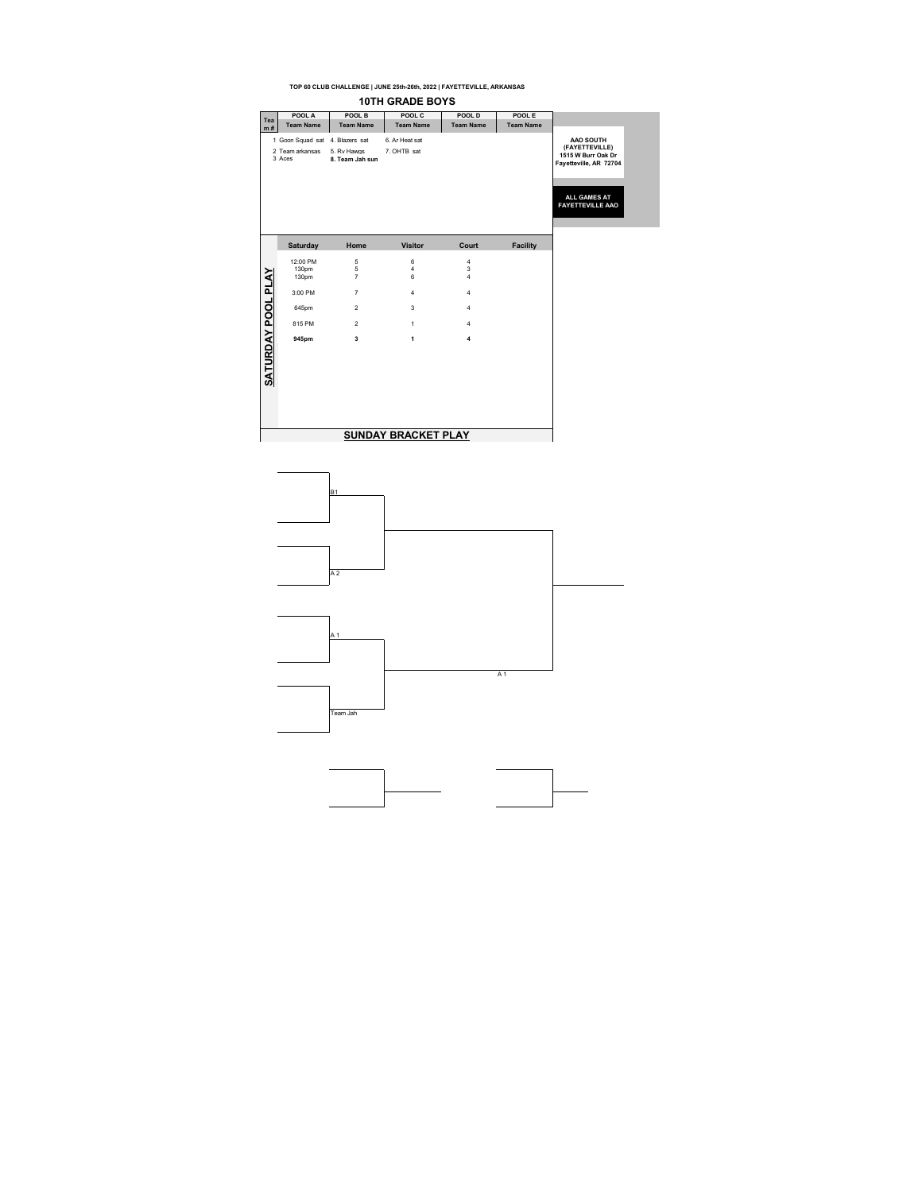|                           |                                 |                     | <b>10TH GRADE BOYS</b>     |                         |                  |
|---------------------------|---------------------------------|---------------------|----------------------------|-------------------------|------------------|
| Tea                       | POOL A                          | POOL B              | POOL C                     | POOL D                  | POOL E           |
| m#                        | <b>Team Name</b>                | <b>Team Name</b>    | <b>Team Name</b>           | <b>Team Name</b>        | <b>Team Name</b> |
|                           | 1 Goon Squad sat 4. Blazers sat |                     | 6. Ar Heat sat             |                         |                  |
|                           | 2 Team arkansas                 | 5. Rv Hawas         | 7. OHTB sat                |                         |                  |
|                           | 3 Aces                          | 8. Team Jah sun     |                            |                         |                  |
|                           |                                 |                     |                            |                         |                  |
|                           |                                 |                     |                            |                         |                  |
|                           |                                 |                     |                            |                         |                  |
|                           |                                 |                     |                            |                         |                  |
|                           |                                 |                     |                            |                         |                  |
|                           |                                 |                     |                            |                         |                  |
|                           |                                 |                     |                            |                         |                  |
|                           | <b>Saturday</b>                 | Home                | <b>Visitor</b>             | Court                   | <b>Facility</b>  |
|                           | 12:00 PM                        | 5                   | 6                          | 4                       |                  |
|                           | 130pm<br>130pm                  | 5<br>$\overline{7}$ | 4<br>6                     | 3<br>4                  |                  |
|                           |                                 |                     |                            |                         |                  |
| <b>SATURDAY POOL PLAY</b> | 3:00 PM                         | $\overline{7}$      | 4                          | $\overline{\mathbf{4}}$ |                  |
|                           | 645pm                           | $\overline{2}$      | 3                          | $\overline{\mathbf{4}}$ |                  |
|                           | 815 PM                          | $\overline{2}$      | $\mathbf{1}$               | $\overline{4}$          |                  |
|                           |                                 |                     |                            |                         |                  |
|                           | 945pm                           | 3                   | 1                          | $\overline{\mathbf{A}}$ |                  |
|                           |                                 |                     |                            |                         |                  |
|                           |                                 |                     |                            |                         |                  |
|                           |                                 |                     |                            |                         |                  |
|                           |                                 |                     |                            |                         |                  |
|                           |                                 |                     |                            |                         |                  |
|                           |                                 |                     |                            |                         |                  |
|                           |                                 |                     |                            |                         |                  |
|                           |                                 |                     |                            |                         |                  |
|                           |                                 |                     | <b>SUNDAY BRACKET PLAY</b> |                         |                  |

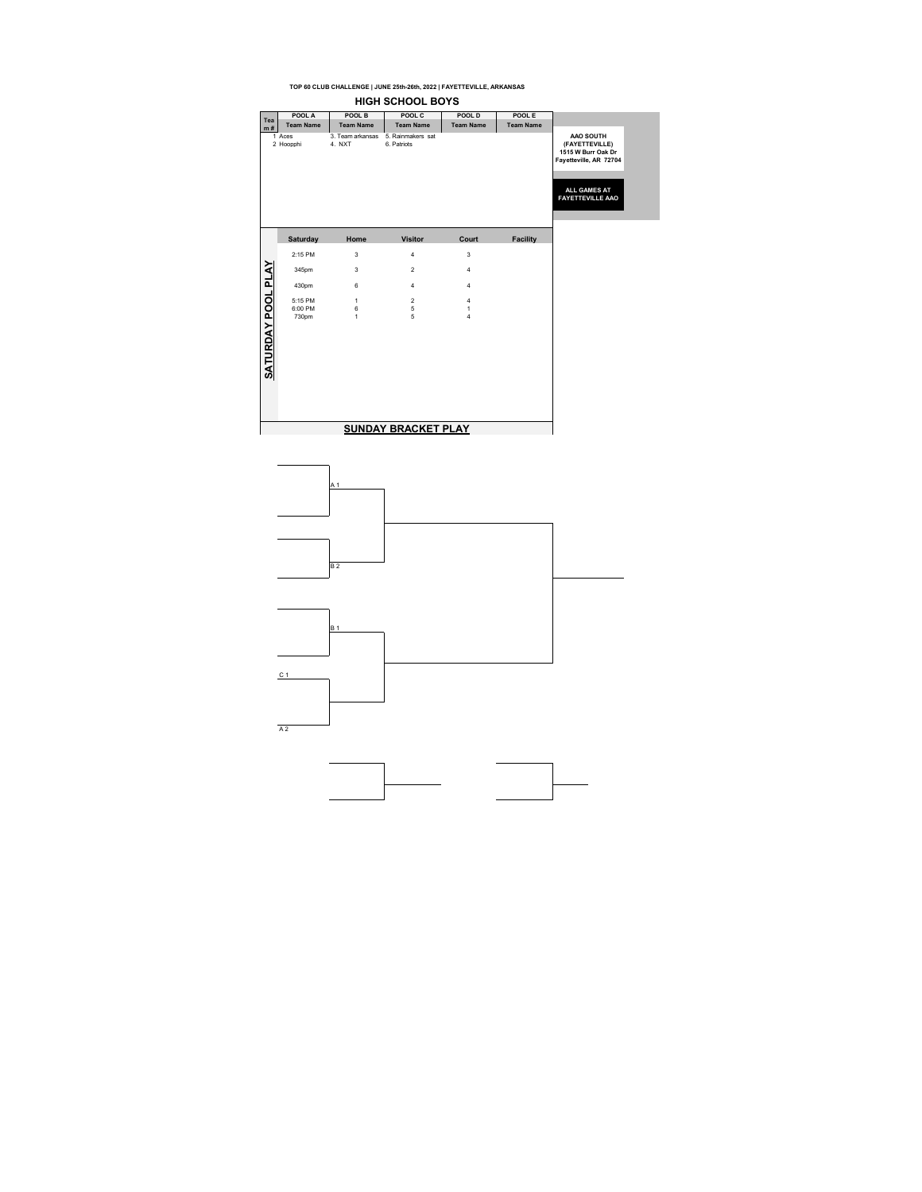